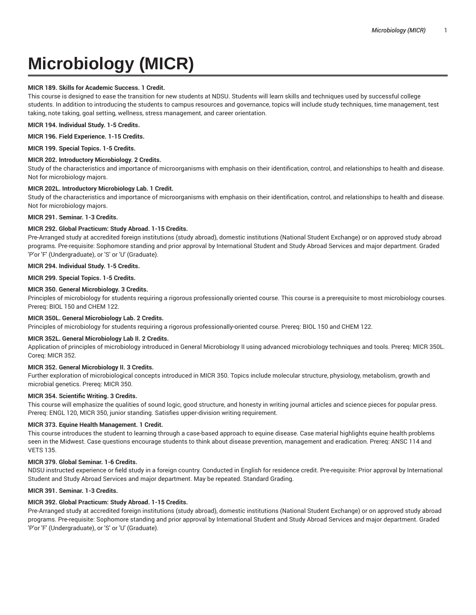# **Microbiology (MICR)**

# **MICR 189. Skills for Academic Success. 1 Credit.**

This course is designed to ease the transition for new students at NDSU. Students will learn skills and techniques used by successful college students. In addition to introducing the students to campus resources and governance, topics will include study techniques, time management, test taking, note taking, goal setting, wellness, stress management, and career orientation.

**MICR 194. Individual Study. 1-5 Credits.**

## **MICR 196. Field Experience. 1-15 Credits.**

**MICR 199. Special Topics. 1-5 Credits.**

# **MICR 202. Introductory Microbiology. 2 Credits.**

Study of the characteristics and importance of microorganisms with emphasis on their identification, control, and relationships to health and disease. Not for microbiology majors.

# **MICR 202L. Introductory Microbiology Lab. 1 Credit.**

Study of the characteristics and importance of microorganisms with emphasis on their identification, control, and relationships to health and disease. Not for microbiology majors.

# **MICR 291. Seminar. 1-3 Credits.**

# **MICR 292. Global Practicum: Study Abroad. 1-15 Credits.**

Pre-Arranged study at accredited foreign institutions (study abroad), domestic institutions (National Student Exchange) or on approved study abroad programs. Pre-requisite: Sophomore standing and prior approval by International Student and Study Abroad Services and major department. Graded 'P'or 'F' (Undergraduate), or 'S' or 'U' (Graduate).

#### **MICR 294. Individual Study. 1-5 Credits.**

**MICR 299. Special Topics. 1-5 Credits.**

#### **MICR 350. General Microbiology. 3 Credits.**

Principles of microbiology for students requiring a rigorous professionally oriented course. This course is a prerequisite to most microbiology courses. Prereq: BIOL 150 and CHEM 122.

# **MICR 350L. General Microbiology Lab. 2 Credits.**

Principles of microbiology for students requiring a rigorous professionally-oriented course. Prereq: BIOL 150 and CHEM 122.

# **MICR 352L. General Microbiology Lab II. 2 Credits.**

Application of principles of microbiology introduced in General Microbiology II using advanced microbiology techniques and tools. Prereq: MICR 350L. Coreq: MICR 352.

# **MICR 352. General Microbiology II. 3 Credits.**

Further exploration of microbiological concepts introduced in MICR 350. Topics include molecular structure, physiology, metabolism, growth and microbial genetics. Prereq: MICR 350.

# **MICR 354. Scientific Writing. 3 Credits.**

This course will emphasize the qualities of sound logic, good structure, and honesty in writing journal articles and science pieces for popular press. Prereq: ENGL 120, MICR 350, junior standing. Satisfies upper-division writing requirement.

#### **MICR 373. Equine Health Management. 1 Credit.**

This course introduces the student to learning through a case-based approach to equine disease. Case material highlights equine health problems seen in the Midwest. Case questions encourage students to think about disease prevention, management and eradication. Prereq: ANSC 114 and VETS 135.

# **MICR 379. Global Seminar. 1-6 Credits.**

NDSU instructed experience or field study in a foreign country. Conducted in English for residence credit. Pre-requisite: Prior approval by International Student and Study Abroad Services and major department. May be repeated. Standard Grading.

# **MICR 391. Seminar. 1-3 Credits.**

# **MICR 392. Global Practicum: Study Abroad. 1-15 Credits.**

Pre-Arranged study at accredited foreign institutions (study abroad), domestic institutions (National Student Exchange) or on approved study abroad programs. Pre-requisite: Sophomore standing and prior approval by International Student and Study Abroad Services and major department. Graded 'P'or 'F' (Undergraduate), or 'S' or 'U' (Graduate).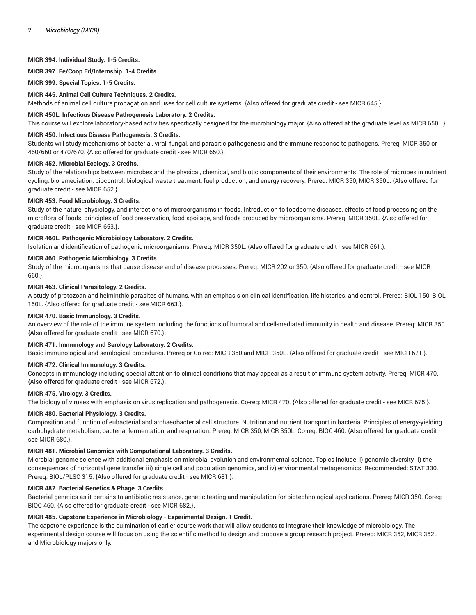# **MICR 394. Individual Study. 1-5 Credits.**

**MICR 397. Fe/Coop Ed/Internship. 1-4 Credits.**

**MICR 399. Special Topics. 1-5 Credits.**

#### **MICR 445. Animal Cell Culture Techniques. 2 Credits.**

Methods of animal cell culture propagation and uses for cell culture systems. {Also offered for graduate credit - see MICR 645.}.

#### **MICR 450L. Infectious Disease Pathogenesis Laboratory. 2 Credits.**

This course will explore laboratory-based activities specifically designed for the microbiology major. {Also offered at the graduate level as MICR 650L.}.

#### **MICR 450. Infectious Disease Pathogenesis. 3 Credits.**

Students will study mechanisms of bacterial, viral, fungal, and parasitic pathogenesis and the immune response to pathogens. Prereq: MICR 350 or 460/660 or 470/670. {Also offered for graduate credit - see MICR 650.}.

#### **MICR 452. Microbial Ecology. 3 Credits.**

Study of the relationships between microbes and the physical, chemical, and biotic components of their environments. The role of microbes in nutrient cycling, bioremediation, biocontrol, biological waste treatment, fuel production, and energy recovery. Prereq: MICR 350, MICR 350L. {Also offered for graduate credit - see MICR 652.}.

#### **MICR 453. Food Microbiology. 3 Credits.**

Study of the nature, physiology, and interactions of microorganisms in foods. Introduction to foodborne diseases, effects of food processing on the microflora of foods, principles of food preservation, food spoilage, and foods produced by microorganisms. Prereq: MICR 350L. {Also offered for graduate credit - see MICR 653.}.

#### **MICR 460L. Pathogenic Microbiology Laboratory. 2 Credits.**

Isolation and identification of pathogenic microorganisms. Prereq: MICR 350L. {Also offered for graduate credit - see MICR 661.}.

## **MICR 460. Pathogenic Microbiology. 3 Credits.**

Study of the microorganisms that cause disease and of disease processes. Prereq: MICR 202 or 350. {Also offered for graduate credit - see MICR 660.}.

## **MICR 463. Clinical Parasitology. 2 Credits.**

A study of protozoan and helminthic parasites of humans, with an emphasis on clinical identification, life histories, and control. Prereq: BIOL 150, BIOL 150L. {Also offered for graduate credit - see MICR 663.}.

## **MICR 470. Basic Immunology. 3 Credits.**

An overview of the role of the immune system including the functions of humoral and cell-mediated immunity in health and disease. Prereq: MICR 350. {Also offered for graduate credit - see MICR 670.}.

# **MICR 471. Immunology and Serology Laboratory. 2 Credits.**

Basic immunological and serological procedures. Prereq or Co-req: MICR 350 and MICR 350L. {Also offered for graduate credit - see MICR 671.}.

## **MICR 472. Clinical Immunology. 3 Credits.**

Concepts in immunology including special attention to clinical conditions that may appear as a result of immune system activity. Prereq: MICR 470. {Also offered for graduate credit - see MICR 672.}.

#### **MICR 475. Virology. 3 Credits.**

The biology of viruses with emphasis on virus replication and pathogenesis. Co-req: MICR 470. {Also offered for graduate credit - see MICR 675.}.

#### **MICR 480. Bacterial Physiology. 3 Credits.**

Composition and function of eubacterial and archaeobacterial cell structure. Nutrition and nutrient transport in bacteria. Principles of energy-yielding carbohydrate metabolism, bacterial fermentation, and respiration. Prereq: MICR 350, MICR 350L. Co-req: BIOC 460. {Also offered for graduate credit see MICR 680.}.

## **MICR 481. Microbial Genomics with Computational Laboratory. 3 Credits.**

Microbial genome science with additional emphasis on microbial evolution and environmental science. Topics include: i) genomic diversity, ii) the consequences of horizontal gene transfer, iii) single cell and population genomics, and iv) environmental metagenomics. Recommended: STAT 330. Prereq: BIOL/PLSC 315. {Also offered for graduate credit - see MICR 681.}.

#### **MICR 482. Bacterial Genetics & Phage. 3 Credits.**

Bacterial genetics as it pertains to antibiotic resistance, genetic testing and manipulation for biotechnological applications. Prereq: MICR 350. Coreq: BIOC 460. {Also offered for graduate credit - see MICR 682.}.

## **MICR 485. Capstone Experience in Microbiology - Experimental Design. 1 Credit.**

The capstone experience is the culmination of earlier course work that will allow students to integrate their knowledge of microbiology. The experimental design course will focus on using the scientific method to design and propose a group research project. Prereq: MICR 352, MICR 352L and Microbiology majors only.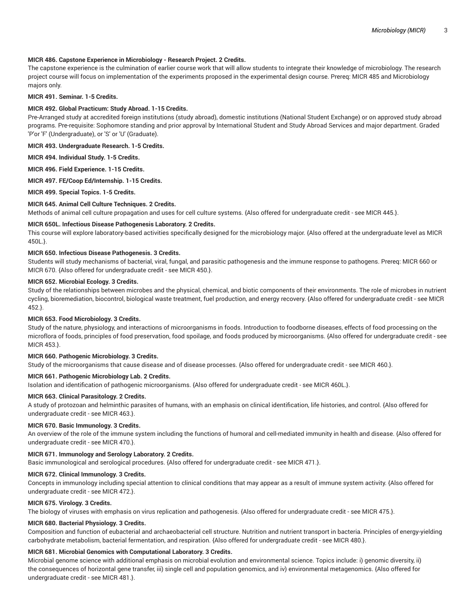# **MICR 486. Capstone Experience in Microbiology - Research Project. 2 Credits.**

The capstone experience is the culmination of earlier course work that will allow students to integrate their knowledge of microbiology. The research project course will focus on implementation of the experiments proposed in the experimental design course. Prereq: MICR 485 and Microbiology majors only.

## **MICR 491. Seminar. 1-5 Credits.**

# **MICR 492. Global Practicum: Study Abroad. 1-15 Credits.**

Pre-Arranged study at accredited foreign institutions (study abroad), domestic institutions (National Student Exchange) or on approved study abroad programs. Pre-requisite: Sophomore standing and prior approval by International Student and Study Abroad Services and major department. Graded 'P'or 'F' (Undergraduate), or 'S' or 'U' (Graduate).

**MICR 493. Undergraduate Research. 1-5 Credits.**

**MICR 494. Individual Study. 1-5 Credits.**

**MICR 496. Field Experience. 1-15 Credits.**

**MICR 497. FE/Coop Ed/Internship. 1-15 Credits.**

**MICR 499. Special Topics. 1-5 Credits.**

# **MICR 645. Animal Cell Culture Techniques. 2 Credits.**

Methods of animal cell culture propagation and uses for cell culture systems. {Also offered for undergraduate credit - see MICR 445.}.

# **MICR 650L. Infectious Disease Pathogenesis Laboratory. 2 Credits.**

This course will explore laboratory-based activities specifically designed for the microbiology major. {Also offered at the undergraduate level as MICR 450L.}.

# **MICR 650. Infectious Disease Pathogenesis. 3 Credits.**

Students will study mechanisms of bacterial, viral, fungal, and parasitic pathogenesis and the immune response to pathogens. Prereq: MICR 660 or MICR 670. {Also offered for undergraduate credit - see MICR 450.}.

#### **MICR 652. Microbial Ecology. 3 Credits.**

Study of the relationships between microbes and the physical, chemical, and biotic components of their environments. The role of microbes in nutrient cycling, bioremediation, biocontrol, biological waste treatment, fuel production, and energy recovery. {Also offered for undergraduate credit - see MICR 452.}.

# **MICR 653. Food Microbiology. 3 Credits.**

Study of the nature, physiology, and interactions of microorganisms in foods. Introduction to foodborne diseases, effects of food processing on the microflora of foods, principles of food preservation, food spoilage, and foods produced by microorganisms. {Also offered for undergraduate credit - see MICR 453.}.

# **MICR 660. Pathogenic Microbiology. 3 Credits.**

Study of the microorganisms that cause disease and of disease processes. {Also offered for undergraduate credit - see MICR 460.}.

# **MICR 661. Pathogenic Microbiology Lab. 2 Credits.**

Isolation and identification of pathogenic microorganisms. {Also offered for undergraduate credit - see MICR 460L.}.

#### **MICR 663. Clinical Parasitology. 2 Credits.**

A study of protozoan and helminthic parasites of humans, with an emphasis on clinical identification, life histories, and control. {Also offered for undergraduate credit - see MICR 463.}.

# **MICR 670. Basic Immunology. 3 Credits.**

An overview of the role of the immune system including the functions of humoral and cell-mediated immunity in health and disease. {Also offered for undergraduate credit - see MICR 470.}.

# **MICR 671. Immunology and Serology Laboratory. 2 Credits.**

Basic immunological and serological procedures. {Also offered for undergraduate credit - see MICR 471.}.

#### **MICR 672. Clinical Immunology. 3 Credits.**

Concepts in immunology including special attention to clinical conditions that may appear as a result of immune system activity. {Also offered for undergraduate credit - see MICR 472.}.

#### **MICR 675. Virology. 3 Credits.**

The biology of viruses with emphasis on virus replication and pathogenesis. {Also offered for undergraduate credit - see MICR 475.}.

#### **MICR 680. Bacterial Physiology. 3 Credits.**

Composition and function of eubacterial and archaeobacterial cell structure. Nutrition and nutrient transport in bacteria. Principles of energy-yielding carbohydrate metabolism, bacterial fermentation, and respiration. {Also offered for undergraduate credit - see MICR 480.}.

# **MICR 681. Microbial Genomics with Computational Laboratory. 3 Credits.**

Microbial genome science with additional emphasis on microbial evolution and environmental science. Topics include: i) genomic diversity, ii) the consequences of horizontal gene transfer, iii) single cell and population genomics, and iv) environmental metagenomics. {Also offered for undergraduate credit - see MICR 481.}.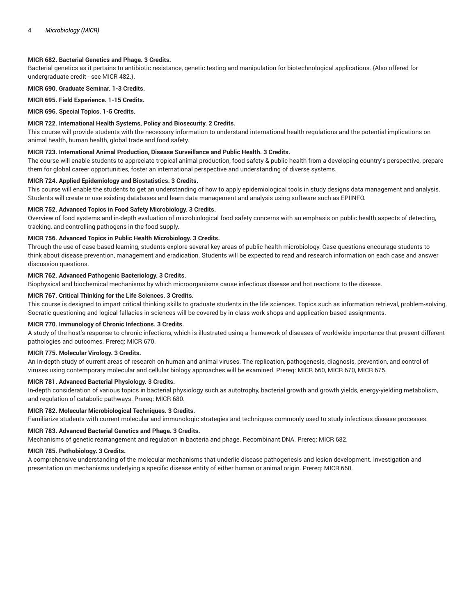# **MICR 682. Bacterial Genetics and Phage. 3 Credits.**

Bacterial genetics as it pertains to antibiotic resistance, genetic testing and manipulation for biotechnological applications. {Also offered for undergraduate credit - see MICR 482.}.

**MICR 690. Graduate Seminar. 1-3 Credits.**

**MICR 695. Field Experience. 1-15 Credits.**

**MICR 696. Special Topics. 1-5 Credits.**

# **MICR 722. International Health Systems, Policy and Biosecurity. 2 Credits.**

This course will provide students with the necessary information to understand international health regulations and the potential implications on animal health, human health, global trade and food safety.

#### **MICR 723. International Animal Production, Disease Surveillance and Public Health. 3 Credits.**

The course will enable students to appreciate tropical animal production, food safety & public health from a developing country's perspective, prepare them for global career opportunities, foster an international perspective and understanding of diverse systems.

#### **MICR 724. Applied Epidemiology and Biostatistics. 3 Credits.**

This course will enable the students to get an understanding of how to apply epidemiological tools in study designs data management and analysis. Students will create or use existing databases and learn data management and analysis using software such as EPIINFO.

## **MICR 752. Advanced Topics in Food Safety Microbiology. 3 Credits.**

Overview of food systems and in-depth evaluation of microbiological food safety concerns with an emphasis on public health aspects of detecting, tracking, and controlling pathogens in the food supply.

# **MICR 756. Advanced Topics in Public Health Microbiology. 3 Credits.**

Through the use of case-based learning, students explore several key areas of public health microbiology. Case questions encourage students to think about disease prevention, management and eradication. Students will be expected to read and research information on each case and answer discussion questions.

# **MICR 762. Advanced Pathogenic Bacteriology. 3 Credits.**

Biophysical and biochemical mechanisms by which microorganisms cause infectious disease and hot reactions to the disease.

# **MICR 767. Critical Thinking for the Life Sciences. 3 Credits.**

This course is designed to impart critical thinking skills to graduate students in the life sciences. Topics such as information retrieval, problem-solving, Socratic questioning and logical fallacies in sciences will be covered by in-class work shops and application-based assignments.

#### **MICR 770. Immunology of Chronic Infections. 3 Credits.**

A study of the host's response to chronic infections, which is illustrated using a framework of diseases of worldwide importance that present different pathologies and outcomes. Prereq: MICR 670.

#### **MICR 775. Molecular Virology. 3 Credits.**

An in-depth study of current areas of research on human and animal viruses. The replication, pathogenesis, diagnosis, prevention, and control of viruses using contemporary molecular and cellular biology approaches will be examined. Prereq: MICR 660, MICR 670, MICR 675.

#### **MICR 781. Advanced Bacterial Physiology. 3 Credits.**

In-depth consideration of various topics in bacterial physiology such as autotrophy, bacterial growth and growth yields, energy-yielding metabolism, and regulation of catabolic pathways. Prereq: MICR 680.

#### **MICR 782. Molecular Microbiological Techniques. 3 Credits.**

Familiarize students with current molecular and immunologic strategies and techniques commonly used to study infectious disease processes.

# **MICR 783. Advanced Bacterial Genetics and Phage. 3 Credits.**

Mechanisms of genetic rearrangement and regulation in bacteria and phage. Recombinant DNA. Prereq: MICR 682.

## **MICR 785. Pathobiology. 3 Credits.**

A comprehensive understanding of the molecular mechanisms that underlie disease pathogenesis and lesion development. Investigation and presentation on mechanisms underlying a specific disease entity of either human or animal origin. Prereq: MICR 660.